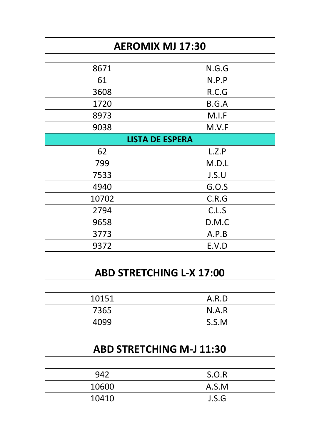# **AEROMIX MJ 17:30**

| 8671                   | N.G.G |  |
|------------------------|-------|--|
|                        |       |  |
| 61                     | N.P.P |  |
| 3608                   | R.C.G |  |
| 1720                   | B.G.A |  |
| 8973                   | M.I.F |  |
| 9038                   | M.V.F |  |
| <b>LISTA DE ESPERA</b> |       |  |
| 62                     | L.Z.P |  |
| 799                    | M.D.L |  |
| 7533                   | J.S.U |  |
| 4940                   | G.O.S |  |
| 10702                  | C.R.G |  |
| 2794                   | C.L.S |  |
| 9658                   | D.M.C |  |
| 3773                   | A.P.B |  |
| 9372                   | E.V.D |  |

#### **ABD STRETCHING L-X 17:00**

| 10151 | A.R.D |
|-------|-------|
| 7365  | N.A.R |
| 4099  | S.S.M |

### **ABD STRETCHING M-J 11:30**

|       | S.O.R |
|-------|-------|
| 10600 | A.S.M |
| 10410 | J.S.G |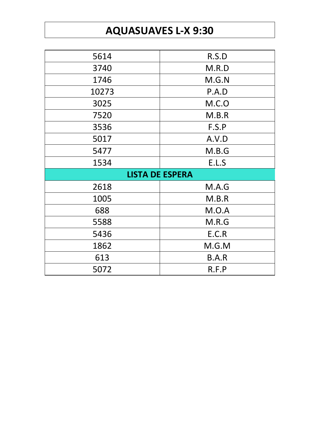# **AQUASUAVES L-X 9:30**

| 5614                   | R.S.D  |  |
|------------------------|--------|--|
| 3740                   | M.R.D  |  |
| 1746                   | M.G.N  |  |
| 10273                  | P.A.D  |  |
| 3025                   | M.C. O |  |
| 7520                   | M.B.R  |  |
| 3536                   | F.S.P  |  |
| 5017                   | A.V.D  |  |
| 5477                   | M.B.G  |  |
| 1534                   | E.L.S  |  |
| <b>LISTA DE ESPERA</b> |        |  |
| 2618                   | M.A.G  |  |
| 1005                   | M.B.R  |  |
| 688                    | M.O.A  |  |
| 5588                   | M.R.G  |  |
| 5436                   | E.C.R  |  |
| 1862                   | M.G.M  |  |
|                        |        |  |
| 613                    | B.A.R  |  |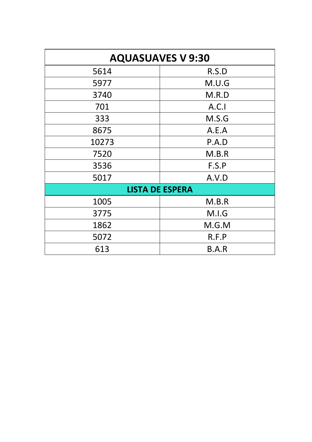| <b>AQUASUAVES V 9:30</b> |       |  |
|--------------------------|-------|--|
| 5614                     | R.S.D |  |
| 5977                     | M.U.G |  |
| 3740                     | M.R.D |  |
| 701                      | A.C.  |  |
| 333                      | M.S.G |  |
| 8675                     | A.E.A |  |
| 10273                    | P.A.D |  |
| 7520                     | M.B.R |  |
| 3536                     | F.S.P |  |
| 5017                     | A.V.D |  |
| <b>LISTA DE ESPERA</b>   |       |  |
| 1005                     | M.B.R |  |
| 3775                     | M.I.G |  |
| 1862                     | M.G.M |  |
| 5072                     | R.F.P |  |
| 613                      | B.A.R |  |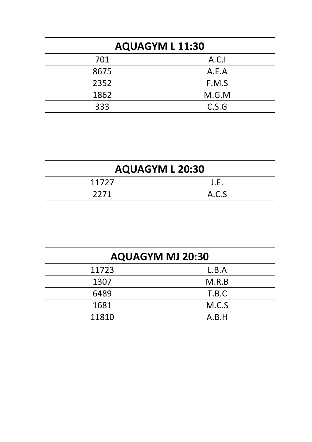| <b>AQUAGYM L 11:30</b> |       |  |
|------------------------|-------|--|
| 701                    | A.C.  |  |
| 8675                   | A.E.A |  |
| 2352                   | F.M.S |  |
| 1862                   | M.G.M |  |
| 333                    | C.S.G |  |

| <b>AQUAGYM L 20:30</b> |       |
|------------------------|-------|
| 11727                  | J.E.  |
| 2271                   | A.C.S |

| <b>AQUAGYM MJ 20:30</b> |       |
|-------------------------|-------|
| 11723                   | L.B.A |
| 1307                    | M.R.B |
| 6489                    | T.B.C |
| 1681                    | M.C.S |
| 11810                   | A.B.H |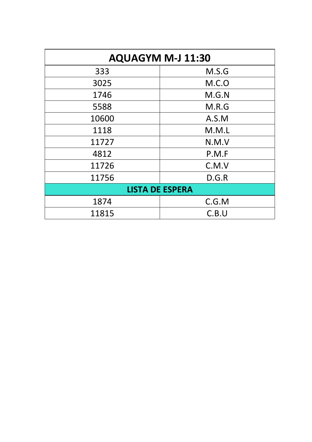| <b>AQUAGYM M-J 11:30</b> |        |
|--------------------------|--------|
| 333                      | M.S.G  |
| 3025                     | M.C. O |
| 1746                     | M.G.N  |
| 5588                     | M.R.G  |
| 10600                    | A.S.M  |
| 1118                     | M.M.L  |
| 11727                    | N.M.V  |
| 4812                     | P.M.F  |
| 11726                    | C.M.V  |
| 11756                    | D.G.R  |
| <b>LISTA DE ESPERA</b>   |        |
| 1874                     | C.G.M  |
| 11815                    | C.B.U  |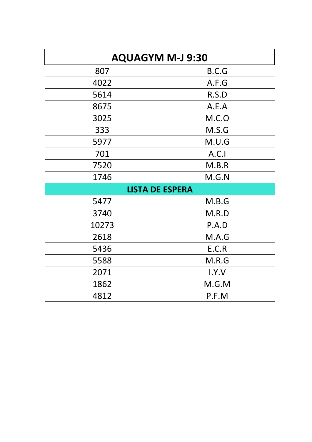| <b>AQUAGYM M-J 9:30</b> |       |  |
|-------------------------|-------|--|
| 807                     | B.C.G |  |
| 4022                    | A.F.G |  |
| 5614                    | R.S.D |  |
| 8675                    | A.E.A |  |
| 3025                    | M.C.0 |  |
| 333                     | M.S.G |  |
| 5977                    | M.U.G |  |
| 701                     | A.C.1 |  |
| 7520                    | M.B.R |  |
| 1746                    | M.G.N |  |
| <b>LISTA DE ESPERA</b>  |       |  |
| 5477                    | M.B.G |  |
| 3740                    | M.R.D |  |
| 10273                   | P.A.D |  |
| 2618                    | M.A.G |  |
| 5436                    | E.C.R |  |
| 5588                    | M.R.G |  |
| 2071                    | I.Y.V |  |
| 1862                    | M.G.M |  |
| 4812                    | P.F.M |  |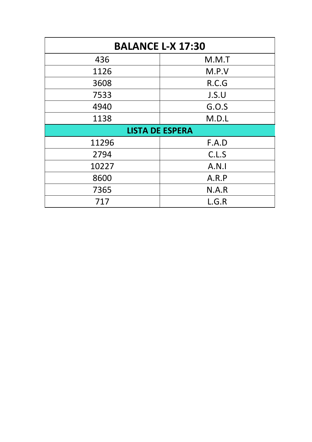| <b>BALANCE L-X 17:30</b> |       |  |
|--------------------------|-------|--|
| 436                      | M.M.T |  |
| 1126                     | M.P.V |  |
| 3608                     | R.C.G |  |
| 7533                     | J.S.U |  |
| 4940                     | G.0.S |  |
| 1138                     | M.D.L |  |
| <b>LISTA DE ESPERA</b>   |       |  |
| 11296                    | F.A.D |  |
| 2794                     | C.L.S |  |
| 10227                    | A.N.1 |  |
| 8600                     | A.R.P |  |
| 7365                     | N.A.R |  |
| 717                      | L.G.R |  |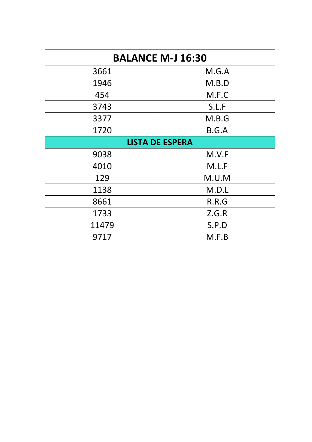| <b>BALANCE M-J 16:30</b> |       |  |
|--------------------------|-------|--|
| 3661                     | M.G.A |  |
| 1946                     | M.B.D |  |
| 454                      | M.F.C |  |
| 3743                     | S.L.F |  |
| 3377                     | M.B.G |  |
| 1720                     | B.G.A |  |
| <b>LISTA DE ESPERA</b>   |       |  |
| 9038                     | M.V.F |  |
| 4010                     | M.L.F |  |
| 129                      | M.U.M |  |
| 1138                     | M.D.L |  |
| 8661                     | R.R.G |  |
| 1733                     | Z.G.R |  |
| 11479                    | S.P.D |  |
| 9717                     | M.F.B |  |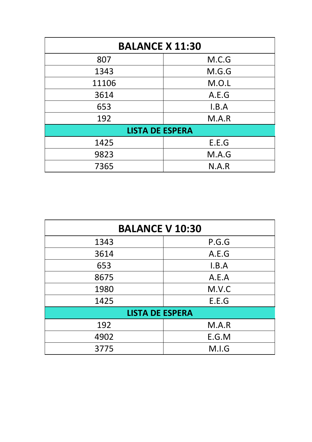| <b>BALANCE X 11:30</b> |       |  |
|------------------------|-------|--|
| 807                    | M.C.G |  |
| 1343                   | M.G.G |  |
| 11106                  | M.O.L |  |
| 3614                   | A.E.G |  |
| 653                    | I.B.A |  |
| 192                    | M.A.R |  |
| <b>LISTA DE ESPERA</b> |       |  |
| 1425                   | E.E.G |  |
| 9823                   | M.A.G |  |
| 7365                   | N.A.R |  |

| <b>BALANCE V 10:30</b> |       |  |
|------------------------|-------|--|
| 1343                   | P.G.G |  |
| 3614                   | A.E.G |  |
| 653                    | I.B.A |  |
| 8675                   | A.E.A |  |
| 1980                   | M.V.C |  |
| 1425                   | E.E.G |  |
| <b>LISTA DE ESPERA</b> |       |  |
| 192                    | M.A.R |  |
| 4902                   | E.G.M |  |
| 3775                   | M.I.G |  |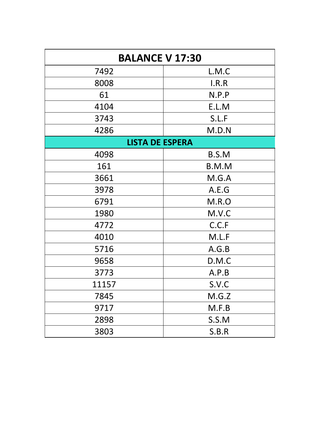| <b>BALANCE V 17:30</b> |       |  |
|------------------------|-------|--|
| 7492                   | L.M.C |  |
| 8008                   | I.R.R |  |
| 61                     | N.P.P |  |
| 4104                   | E.L.M |  |
| 3743                   | S.L.F |  |
| 4286                   | M.D.N |  |
| <b>LISTA DE ESPERA</b> |       |  |
| 4098                   | B.S.M |  |
| 161                    | B.M.M |  |
| 3661                   | M.G.A |  |
| 3978                   | A.E.G |  |
| 6791                   | M.R.O |  |
| 1980                   | M.V.C |  |
| 4772                   | C.C.F |  |
| 4010                   | M.L.F |  |
| 5716                   | A.G.B |  |
| 9658                   | D.M.C |  |
| 3773                   | A.P.B |  |
| 11157                  | S.V.C |  |
| 7845                   | M.G.Z |  |
| 9717                   | M.F.B |  |
| 2898                   | S.S.M |  |
| 3803                   | S.B.R |  |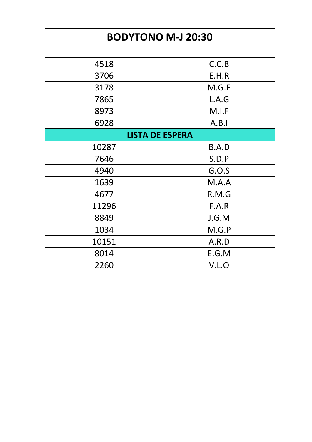### **BODYTONO M-J 20:30**

| 4518                   | C.C.B |  |
|------------------------|-------|--|
| 3706                   | E.H.R |  |
| 3178                   | M.G.E |  |
| 7865                   | L.A.G |  |
| 8973                   | M.I.F |  |
| 6928                   | A.B.1 |  |
| <b>LISTA DE ESPERA</b> |       |  |
| 10287                  | B.A.D |  |
| 7646                   | S.D.P |  |
| 4940                   | G.0.S |  |
| 1639                   | M.A.A |  |
| 4677                   | R.M.G |  |
| 11296                  | F.A.R |  |
| 8849                   | J.G.M |  |
| 1034                   | M.G.P |  |
| 10151                  | A.R.D |  |
| 8014                   | E.G.M |  |
| 2260                   | V.L.O |  |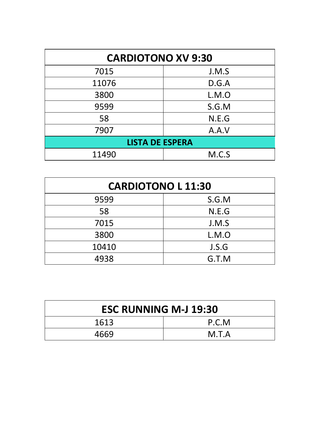| <b>CARDIOTONO XV 9:30</b> |       |  |
|---------------------------|-------|--|
| 7015                      | J.M.S |  |
| 11076                     | D.G.A |  |
| 3800                      | L.M.O |  |
| 9599                      | S.G.M |  |
| 58                        | N.E.G |  |
| 7907                      | A.A.V |  |
| <b>LISTA DE ESPERA</b>    |       |  |
| 11490                     | M.C.S |  |

| <b>CARDIOTONO L 11:30</b> |       |
|---------------------------|-------|
| 9599                      | S.G.M |
| 58                        | N.E.G |
| 7015                      | J.M.S |
| 3800                      | L.M.O |
| 10410                     | J.S.G |
| 4938                      | G.T.M |

| <b>ESC RUNNING M-J 19:30</b> |       |
|------------------------------|-------|
| 1613                         | P.C.M |
| 4669                         | M.T.A |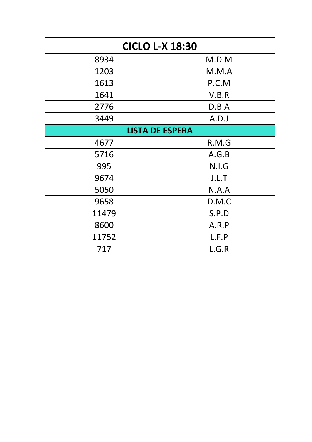| <b>CICLO L-X 18:30</b> |       |  |
|------------------------|-------|--|
| 8934                   | M.D.M |  |
| 1203                   | M.M.A |  |
| 1613                   | P.C.M |  |
| 1641                   | V.B.R |  |
| 2776                   | D.B.A |  |
| 3449                   | A.D.J |  |
| <b>LISTA DE ESPERA</b> |       |  |
| 4677                   | R.M.G |  |
| 5716                   | A.G.B |  |
| 995                    | N.I.G |  |
| 9674                   | J.L.T |  |
| 5050                   | N.A.A |  |
| 9658                   | D.M.C |  |
| 11479                  | S.P.D |  |
| 8600                   | A.R.P |  |
| 11752                  | L.F.P |  |
| 717                    | L.G.R |  |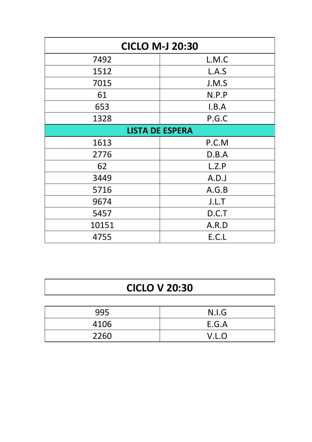| <b>CICLO M-J 20:30</b> |       |  |
|------------------------|-------|--|
| 7492                   | L.M.C |  |
| 1512                   | L.A.S |  |
| 7015                   | J.M.S |  |
| 61                     | N.P.P |  |
| 653                    | I.B.A |  |
| 1328                   | P.G.C |  |
| <b>LISTA DE ESPERA</b> |       |  |
| 1613                   | P.C.M |  |
| 2776                   | D.B.A |  |
| 62                     | L.Z.P |  |
| 3449                   | A.D.J |  |
| 5716                   | A.G.B |  |
| 9674                   | J.L.T |  |
| 5457                   | D.C.T |  |
| 10151                  | A.R.D |  |
| 4755                   | E.C.L |  |

# **CICLO V 20:30**

| 995  | N.I.G |
|------|-------|
| 4106 | E.G.A |
| 2260 | V.L.O |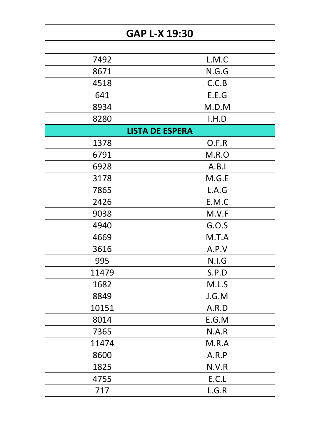# **GAP L-X 19:30**

| 7492  | L.M.C                  |
|-------|------------------------|
| 8671  | N.G.G                  |
| 4518  | C.C.B                  |
| 641   | E.E.G                  |
| 8934  | M.D.M                  |
| 8280  | I.H.D                  |
|       | <b>LISTA DE ESPERA</b> |
| 1378  | O.F.R                  |
| 6791  | M.R.O                  |
| 6928  | A.B.1                  |
| 3178  | M.G.E                  |
| 7865  | L.A.G                  |
| 2426  | E.M.C                  |
| 9038  | M.V.F                  |
| 4940  | G.O.S                  |
| 4669  | M.T.A                  |
| 3616  | A.P.V                  |
| 995   | N.I.G                  |
| 11479 | S.P.D                  |
| 1682  | M.L.S                  |
| 8849  | J.G.M                  |
| 10151 | A.R.D                  |
| 8014  | E.G.M                  |
| 7365  | N.A.R                  |
| 11474 | M.R.A                  |
| 8600  | A.R.P                  |
| 1825  | N.V.R                  |
| 4755  | E.C.L                  |
| 717   | L.G.R                  |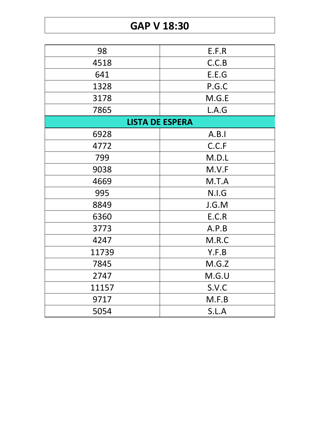#### **GAP V 18:30**

| 98    | E.F.R                  |
|-------|------------------------|
| 4518  | C.C.B                  |
| 641   | E.E.G                  |
| 1328  | P.G.C                  |
| 3178  | M.G.E                  |
| 7865  | L.A.G                  |
|       | <b>LISTA DE ESPERA</b> |
| 6928  | A.B.1                  |
| 4772  | C.C.F                  |
| 799   | M.D.L                  |
| 9038  | M.V.F                  |
| 4669  | M.T.A                  |
| 995   | N.I.G                  |
| 8849  | J.G.M                  |
| 6360  | E.C.R                  |
| 3773  | A.P.B                  |
| 4247  | M.R.C                  |
| 11739 | Y.F.B                  |
| 7845  | M.G.Z                  |
| 2747  | M.G.U                  |
| 11157 | S.V.C                  |
| 9717  | M.F.B                  |
| 5054  | S.L.A                  |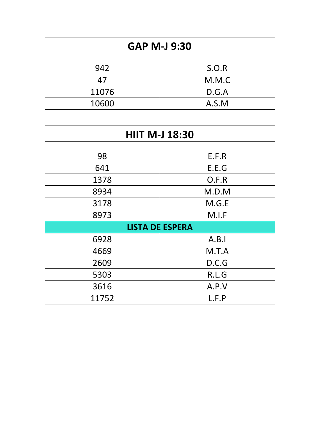## **GAP M-J 9:30**

| 942   | S.O.R |
|-------|-------|
| 47    | M.M.C |
| 11076 | D.G.A |
| 10600 | A.S.M |

| <b>HIIT M-J 18:30</b>  |       |  |
|------------------------|-------|--|
| 98                     | E.F.R |  |
| 641                    | E.E.G |  |
| 1378                   | O.F.R |  |
| 8934                   | M.D.M |  |
| 3178                   | M.G.E |  |
| 8973                   | M.I.F |  |
| <b>LISTA DE ESPERA</b> |       |  |
| 6928                   | A.B.1 |  |
| 4669                   | M.T.A |  |
| 2609                   | D.C.G |  |
| 5303                   | R.L.G |  |
| 3616                   | A.P.V |  |
| 11752                  | L.F.P |  |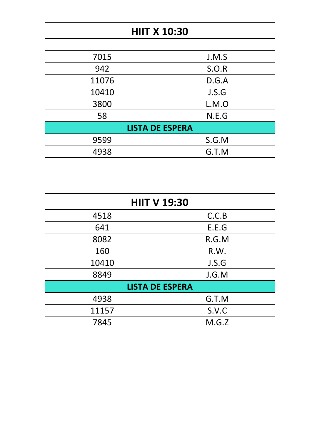#### **HIIT X 10:30**

| 7015                   | J.M.S |  |
|------------------------|-------|--|
| 942                    | S.O.R |  |
| 11076                  | D.G.A |  |
| 10410                  | J.S.G |  |
| 3800                   | L.M.O |  |
| 58                     | N.E.G |  |
| <b>LISTA DE ESPERA</b> |       |  |
| 9599                   | S.G.M |  |
| 4938                   | G.T.M |  |

| <b>HIIT V 19:30</b>    |       |  |
|------------------------|-------|--|
| 4518                   | C.C.B |  |
| 641                    | E.E.G |  |
| 8082                   | R.G.M |  |
| 160                    | R.W.  |  |
| 10410                  | J.S.G |  |
| 8849                   | J.G.M |  |
| <b>LISTA DE ESPERA</b> |       |  |
| 4938                   | G.T.M |  |
| 11157                  | S.V.C |  |
| 7845                   | M.G.Z |  |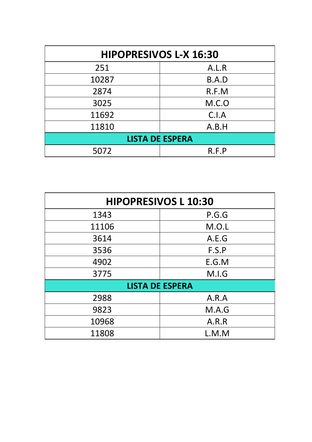| <b>HIPOPRESIVOS L-X 16:30</b> |       |  |
|-------------------------------|-------|--|
| 251                           | A.L.R |  |
| 10287                         | B.A.D |  |
| 2874                          | R.F.M |  |
| 3025                          | M.C.0 |  |
| 11692                         | C.I.A |  |
| 11810                         | A.B.H |  |
| <b>LISTA DE ESPERA</b>        |       |  |
| 5072                          | R.F.P |  |

| <b>HIPOPRESIVOS L 10:30</b> |       |  |
|-----------------------------|-------|--|
| 1343                        | P.G.G |  |
| 11106                       | M.O.L |  |
| 3614                        | A.E.G |  |
| 3536                        | F.S.P |  |
| 4902                        | E.G.M |  |
| 3775                        | M.I.G |  |
| <b>LISTA DE ESPERA</b>      |       |  |
| 2988                        | A.R.A |  |
| 9823                        | M.A.G |  |
| 10968                       | A.R.R |  |
| 11808                       | L.M.M |  |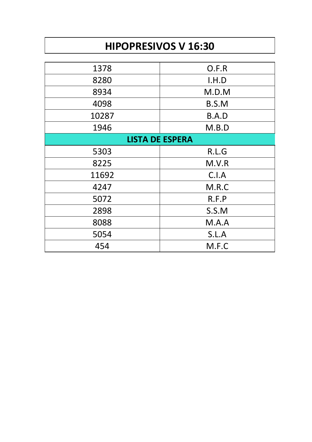# **HIPOPRESIVOS V 16:30**

| O.F.R                  |  |  |
|------------------------|--|--|
| I.H.D                  |  |  |
| M.D.M                  |  |  |
| B.S.M                  |  |  |
| B.A.D                  |  |  |
| M.B.D                  |  |  |
| <b>LISTA DE ESPERA</b> |  |  |
| R.L.G                  |  |  |
| M.V.R                  |  |  |
| C.I.A                  |  |  |
| M.R.C                  |  |  |
| R.F.P                  |  |  |
| S.S.M                  |  |  |
| M.A.A                  |  |  |
| S.L.A                  |  |  |
| M.F.C                  |  |  |
|                        |  |  |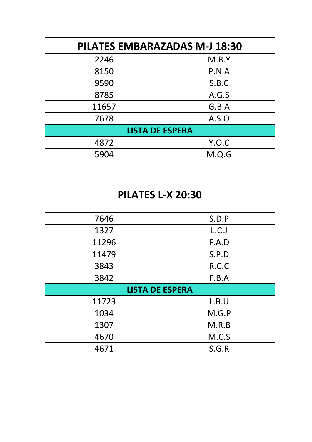| <b>PILATES EMBARAZADAS M-J 18:30</b> |       |  |
|--------------------------------------|-------|--|
| 2246                                 | M.B.Y |  |
| 8150                                 | P.N.A |  |
| 9590                                 | S.B.C |  |
| 8785                                 | A.G.S |  |
| 11657                                | G.B.A |  |
| 7678                                 | A.S.O |  |
| <b>LISTA DE ESPERA</b>               |       |  |
| 4872                                 | Y.O.C |  |
| 5904                                 | M.Q.G |  |

### **PILATES L-X 20:30**

| 7646                   | S.D.P |  |
|------------------------|-------|--|
| 1327                   | L.C.J |  |
|                        |       |  |
| 11296                  | F.A.D |  |
| 11479                  | S.P.D |  |
| 3843                   | R.C.C |  |
| 3842                   | F.B.A |  |
| <b>LISTA DE ESPERA</b> |       |  |
|                        |       |  |
| 11723                  | L.B.U |  |
| 1034                   | M.G.P |  |
| 1307                   | M.R.B |  |
| 4670                   | M.C.S |  |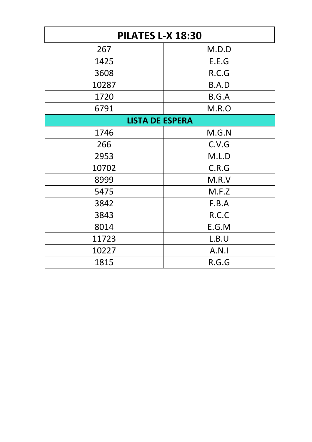| <b>PILATES L-X 18:30</b> |       |  |
|--------------------------|-------|--|
| 267                      | M.D.D |  |
| 1425                     | E.E.G |  |
| 3608                     | R.C.G |  |
| 10287                    | B.A.D |  |
| 1720                     | B.G.A |  |
| 6791                     | M.R.O |  |
| <b>LISTA DE ESPERA</b>   |       |  |
| 1746                     | M.G.N |  |
| 266                      | C.V.G |  |
| 2953                     | M.L.D |  |
| 10702                    | C.R.G |  |
| 8999                     | M.R.V |  |
| 5475                     | M.F.Z |  |
| 3842                     | F.B.A |  |
| 3843                     | R.C.C |  |
| 8014                     | E.G.M |  |
| 11723                    | L.B.U |  |
| 10227                    | A.N.1 |  |
| 1815                     | R.G.G |  |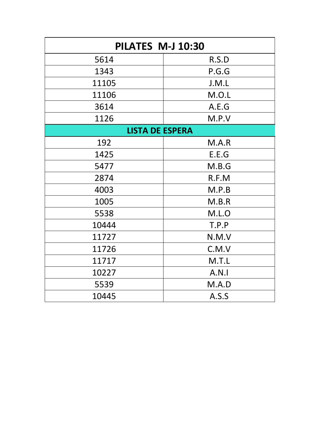| PILATES M-J 10:30      |       |  |
|------------------------|-------|--|
| 5614                   | R.S.D |  |
| 1343                   | P.G.G |  |
| 11105                  | J.M.L |  |
| 11106                  | M.O.L |  |
| 3614                   | A.E.G |  |
| 1126                   | M.P.V |  |
| <b>LISTA DE ESPERA</b> |       |  |
| 192                    | M.A.R |  |
| 1425                   | E.E.G |  |
| 5477                   | M.B.G |  |
| 2874                   | R.F.M |  |
| 4003                   | M.P.B |  |
| 1005                   | M.B.R |  |
| 5538                   | M.L.O |  |
| 10444                  | T.P.P |  |
| 11727                  | N.M.V |  |
| 11726                  | C.M.V |  |
| 11717                  | M.T.L |  |
| 10227                  | A.N.1 |  |
| 5539                   | M.A.D |  |
| 10445                  | A.S.S |  |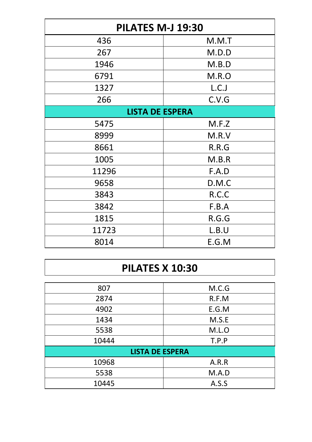| <b>PILATES M-J 19:30</b> |       |  |
|--------------------------|-------|--|
| 436                      | M.M.T |  |
| 267                      | M.D.D |  |
| 1946                     | M.B.D |  |
| 6791                     | M.R.O |  |
| 1327                     | L.C.J |  |
| 266                      | C.V.G |  |
| <b>LISTA DE ESPERA</b>   |       |  |
| 5475                     | M.F.Z |  |
| 8999                     | M.R.V |  |
| 8661                     | R.R.G |  |
| 1005                     | M.B.R |  |
| 11296                    | F.A.D |  |
| 9658                     | D.M.C |  |
| 3843                     | R.C.C |  |
| 3842                     | F.B.A |  |
| 1815                     | R.G.G |  |
| 11723                    | L.B.U |  |
| 8014                     | E.G.M |  |

#### **PILATES X 10:30**

| 807                    | M.C.G |  |
|------------------------|-------|--|
| 2874                   | R.F.M |  |
| 4902                   | E.G.M |  |
| 1434                   | M.S.E |  |
| 5538                   | M.L.O |  |
| 10444                  | T.P.P |  |
| <b>LISTA DE ESPERA</b> |       |  |
| 10968                  | A.R.R |  |
| 5538                   | M.A.D |  |
| 10445                  | A.S.S |  |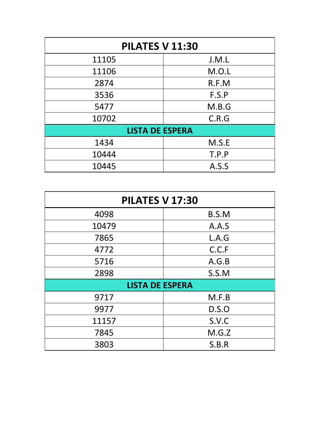| PILATES V 11:30        |       |  |
|------------------------|-------|--|
| 11105                  | J.M.L |  |
| 11106                  | M.O.L |  |
| 2874                   | R.F.M |  |
| 3536                   | F.S.P |  |
| 5477                   | M.B.G |  |
| 10702                  | C.R.G |  |
| <b>LISTA DE ESPERA</b> |       |  |
| 1434                   | M.S.E |  |
| 10444                  | T.P.P |  |
| 10445                  | A.S.S |  |

| <b>PILATES V 17:30</b> |       |  |
|------------------------|-------|--|
| 4098                   | B.S.M |  |
| 10479                  | A.A.S |  |
| 7865                   | L.A.G |  |
| 4772                   | C.C.F |  |
| 5716                   | A.G.B |  |
| 2898                   | S.S.M |  |
| <b>LISTA DE ESPERA</b> |       |  |
| 9717                   | M.F.B |  |
| 9977                   | D.S.O |  |
| 11157                  | S.V.C |  |
| 7845                   | M.G.Z |  |
| 3803                   | S.B.R |  |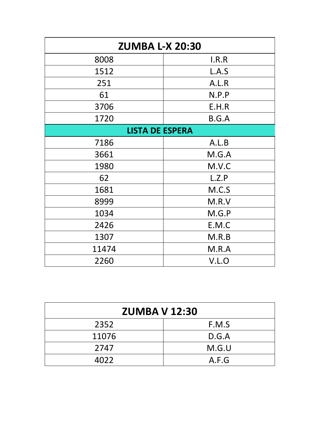| <b>ZUMBA L-X 20:30</b> |       |  |
|------------------------|-------|--|
| 8008                   | I.R.R |  |
| 1512                   | L.A.S |  |
| 251                    | A.L.R |  |
| 61                     | N.P.P |  |
| 3706                   | E.H.R |  |
| 1720                   | B.G.A |  |
| <b>LISTA DE ESPERA</b> |       |  |
| 7186                   | A.L.B |  |
| 3661                   | M.G.A |  |
| 1980                   | M.V.C |  |
| 62                     | L.Z.P |  |
| 1681                   | M.C.S |  |
| 8999                   | M.R.V |  |
| 1034                   | M.G.P |  |
| 2426                   | E.M.C |  |
| 1307                   | M.R.B |  |
| 11474                  | M.R.A |  |
| 2260                   | V.L.O |  |

| <b>ZUMBA V 12:30</b> |       |  |
|----------------------|-------|--|
| 2352                 | F.M.S |  |
| 11076                | D.G.A |  |
| 2747                 | M.G.U |  |
| 4022                 | A.F.G |  |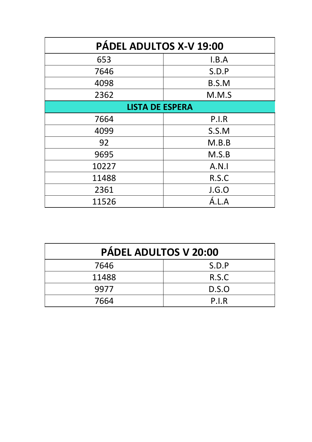| PÁDEL ADULTOS X-V 19:00 |       |  |
|-------------------------|-------|--|
| 653                     | I.B.A |  |
| 7646                    | S.D.P |  |
| 4098                    | B.S.M |  |
| 2362                    | M.M.S |  |
| <b>LISTA DE ESPERA</b>  |       |  |
| 7664                    | P.I.R |  |
| 4099                    | S.S.M |  |
| 92                      | M.B.B |  |
| 9695                    | M.S.B |  |
| 10227                   | A.N.1 |  |
| 11488                   | R.S.C |  |
| 2361                    | J.G.O |  |
| 11526                   | A.L.A |  |

| PÁDEL ADULTOS V 20:00 |       |
|-----------------------|-------|
| 7646                  | S.D.P |
| 11488                 | R.S.C |
| 9977                  | D.S.O |
| 7664                  | P.I.R |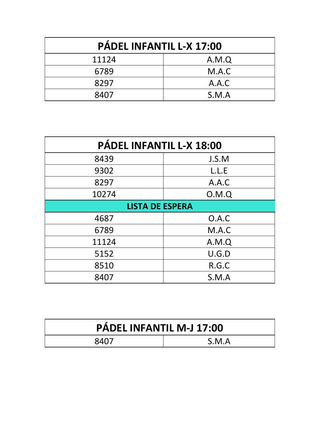| PÁDEL INFANTIL L-X 17:00 |       |  |
|--------------------------|-------|--|
| 11124                    | A.M.Q |  |
| 6789                     | M.A.C |  |
| 8297                     | A.A.C |  |
| 8407                     | S.M.A |  |

| PÁDEL INFANTIL L-X 18:00 |       |  |
|--------------------------|-------|--|
| 8439                     | J.S.M |  |
| 9302                     | L.L.E |  |
| 8297                     | A.A.C |  |
| 10274                    | O.M.Q |  |
| <b>LISTA DE ESPERA</b>   |       |  |
| 4687                     | O.A.C |  |
| 6789                     | M.A.C |  |
| 11124                    | A.M.Q |  |
| 5152                     | U.G.D |  |
| 8510                     | R.G.C |  |
| 8407                     | S.M.A |  |

| <b>PÁDEL INFANTIL M-J 17:00</b> |       |
|---------------------------------|-------|
| QAD                             | S.M.A |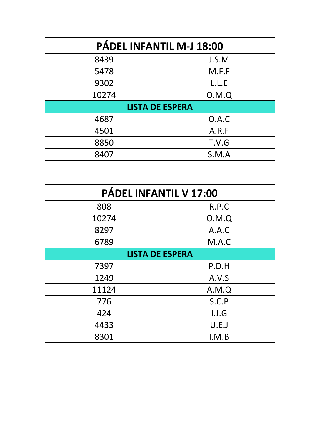| PÁDEL INFANTIL M-J 18:00 |       |  |
|--------------------------|-------|--|
| 8439                     | J.S.M |  |
| 5478                     | M.F.F |  |
| 9302                     | L.L.E |  |
| 10274                    | O.M.Q |  |
| <b>LISTA DE ESPERA</b>   |       |  |
| 4687                     | O.A.C |  |
| 4501                     | A.R.F |  |
| 8850                     | T.V.G |  |
| 8407                     | S.M.A |  |

| PÁDEL INFANTIL V 17:00 |       |  |
|------------------------|-------|--|
| 808                    | R.P.C |  |
| 10274                  | O.M.Q |  |
| 8297                   | A.A.C |  |
| 6789                   | M.A.C |  |
| <b>LISTA DE ESPERA</b> |       |  |
| 7397                   | P.D.H |  |
| 1249                   | A.V.S |  |
| 11124                  | A.M.Q |  |
| 776                    | S.C.P |  |
| 424                    | I.J.G |  |
| 4433                   | U.E.J |  |
| 8301                   | I.M.B |  |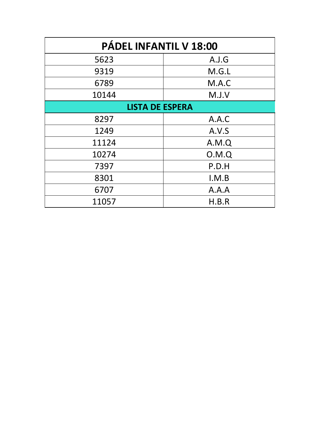| PÁDEL INFANTIL V 18:00 |       |  |
|------------------------|-------|--|
| 5623                   | A.J.G |  |
| 9319                   | M.G.L |  |
| 6789                   | M.A.C |  |
| 10144                  | M.J.V |  |
| <b>LISTA DE ESPERA</b> |       |  |
| 8297                   | A.A.C |  |
| 1249                   | A.V.S |  |
| 11124                  | A.M.Q |  |
| 10274                  | O.M.Q |  |
| 7397                   | P.D.H |  |
| 8301                   | I.M.B |  |
| 6707                   | A.A.A |  |
| 11057                  | H.B.R |  |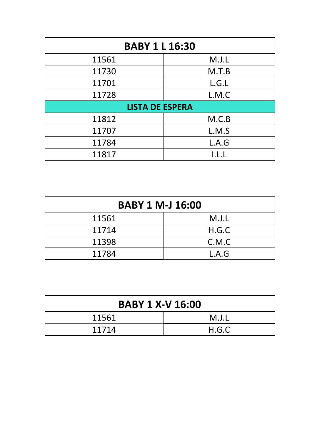| <b>BABY 1 L 16:30</b>  |       |  |
|------------------------|-------|--|
| 11561                  | M.J.L |  |
| 11730                  | M.T.B |  |
| 11701                  | L.G.L |  |
| 11728                  | L.M.C |  |
| <b>LISTA DE ESPERA</b> |       |  |
| 11812                  | M.C.B |  |
| 11707                  | L.M.S |  |
| 11784                  | L.A.G |  |
| 11817                  |       |  |

| <b>BABY 1 M-J 16:00</b> |       |  |
|-------------------------|-------|--|
| 11561                   | M.J.L |  |
| 11714                   | H.G.C |  |
| 11398                   | C.M.C |  |
| 11784                   | L.A.G |  |

| <b>BABY 1 X-V 16:00</b> |       |
|-------------------------|-------|
| 11561                   | M.J.L |
| 11714                   | H.G.C |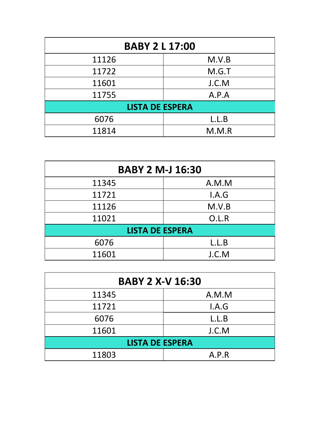| <b>BABY 2 L 17:00</b>  |       |  |
|------------------------|-------|--|
| 11126                  | M.V.B |  |
| 11722                  | M.G.T |  |
| 11601                  | J.C.M |  |
| 11755                  | A.P.A |  |
| <b>LISTA DE ESPERA</b> |       |  |
| 6076                   | L.L.B |  |
| 11814                  | M.M.R |  |

| <b>BABY 2 M-J 16:30</b> |       |  |
|-------------------------|-------|--|
| 11345                   | A.M.M |  |
| 11721                   | I.A.G |  |
| 11126                   | M.V.B |  |
| 11021                   | O.L.R |  |
| <b>LISTA DE ESPERA</b>  |       |  |
| 6076                    | L.L.B |  |
| 11601                   | J.C.M |  |

| <b>BABY 2 X-V 16:30</b> |       |  |
|-------------------------|-------|--|
| 11345                   | A.M.M |  |
| 11721                   | I.A.G |  |
| 6076                    | L.L.B |  |
| 11601                   | J.C.M |  |
| <b>LISTA DE ESPERA</b>  |       |  |
| 11803                   | A.P.R |  |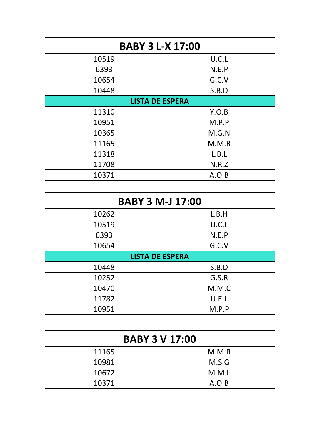| <b>BABY 3 L-X 17:00</b> |       |  |
|-------------------------|-------|--|
| 10519                   | U.C.L |  |
| 6393                    | N.E.P |  |
| 10654                   | G.C.V |  |
| 10448                   | S.B.D |  |
| <b>LISTA DE ESPERA</b>  |       |  |
| 11310                   | Y.O.B |  |
| 10951                   | M.P.P |  |
| 10365                   | M.G.N |  |
| 11165                   | M.M.R |  |
| 11318                   | L.B.L |  |
| 11708                   | N.R.Z |  |
| 10371                   | A.O.B |  |

| <b>BABY 3 M-J 17:00</b> |       |  |
|-------------------------|-------|--|
| 10262                   | L.B.H |  |
| 10519                   | U.C.L |  |
| 6393                    | N.E.P |  |
| 10654                   | G.C.V |  |
| <b>LISTA DE ESPERA</b>  |       |  |
| 10448                   | S.B.D |  |
| 10252                   | G.S.R |  |
| 10470                   | M.M.C |  |
| 11782                   | U.E.L |  |
| 10951                   | M.P.P |  |

| <b>BABY 3 V 17:00</b> |       |  |
|-----------------------|-------|--|
| 11165                 | M.M.R |  |
| 10981                 | M.S.G |  |
| 10672                 | M.M.L |  |
| 10371                 | A.O.B |  |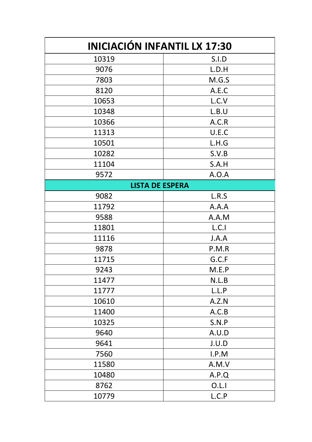| <b>INICIACIÓN INFANTIL LX 17:30</b> |              |  |
|-------------------------------------|--------------|--|
| 10319                               | <b>S.I.D</b> |  |
| 9076                                | L.D.H        |  |
| 7803                                | M.G.S        |  |
| 8120                                | A.E.C        |  |
| 10653                               | L.C.V        |  |
| 10348                               | L.B.U        |  |
| 10366                               | A.C.R        |  |
| 11313                               | U.E.C        |  |
| 10501                               | L.H.G        |  |
| 10282                               | S.V.B        |  |
| 11104                               | S.A.H        |  |
| 9572                                | A.O.A        |  |
| <b>LISTA DE ESPERA</b>              |              |  |
| 9082                                | L.R.S        |  |
| 11792                               | A.A.A        |  |
| 9588                                | A.A.M        |  |
| 11801                               | L.C.1        |  |
| 11116                               | J.A.A        |  |
| 9878                                | P.M.R        |  |
| 11715                               | G.C.F        |  |
| 9243                                | M.E.P        |  |
| 11477                               | N.L.B        |  |
| 11777                               | L.L.P        |  |
| 10610                               | A.Z.N        |  |
| 11400                               | A.C.B        |  |
| 10325                               | S.N.P        |  |
| 9640                                | A.U.D        |  |
| 9641                                | J.U.D        |  |
| 7560                                | I.P.M        |  |
| 11580                               | A.M.V        |  |
| 10480                               | A.P.Q        |  |
| 8762                                | O.L.1        |  |
| 10779                               | L.C.P        |  |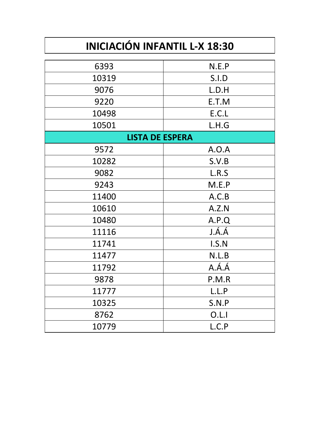# **INICIACIÓN INFANTIL L-X 18:30**

| 6393                   | N.E.P |  |
|------------------------|-------|--|
| 10319                  | S.I.D |  |
| 9076                   | L.D.H |  |
| 9220                   | E.T.M |  |
| 10498                  | E.C.L |  |
| 10501                  | L.H.G |  |
| <b>LISTA DE ESPERA</b> |       |  |
| 9572                   | A.O.A |  |
| 10282                  | S.V.B |  |
| 9082                   | L.R.S |  |
| 9243                   | M.E.P |  |
| 11400                  | A.C.B |  |
| 10610                  | A.Z.N |  |
| 10480                  | A.P.Q |  |
| 11116                  | J.Á.Á |  |
| 11741                  | I.S.N |  |
| 11477                  | N.L.B |  |
| 11792                  | A.Á.Á |  |
| 9878                   | P.M.R |  |
| 11777                  | L.L.P |  |
| 10325                  | S.N.P |  |
| 8762                   | O.L.1 |  |
| 10779                  | L.C.P |  |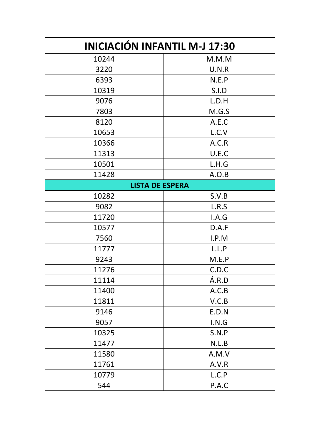| <b>INICIACIÓN INFANTIL M-J 17:30</b> |       |  |
|--------------------------------------|-------|--|
| 10244                                | M.M.M |  |
| 3220                                 | U.N.R |  |
| 6393                                 | N.E.P |  |
| 10319                                | S.I.D |  |
| 9076                                 | L.D.H |  |
| 7803                                 | M.G.S |  |
| 8120                                 | A.E.C |  |
| 10653                                | L.C.V |  |
| 10366                                | A.C.R |  |
| 11313                                | U.E.C |  |
| 10501                                | L.H.G |  |
| 11428                                | A.O.B |  |
| <b>LISTA DE ESPERA</b>               |       |  |
| 10282                                | S.V.B |  |
| 9082                                 | L.R.S |  |
| 11720                                | I.A.G |  |
| 10577                                | D.A.F |  |
| 7560                                 | I.P.M |  |
| 11777                                | L.L.P |  |
| 9243                                 | M.E.P |  |
| 11276                                | C.D.C |  |
| 11114                                | Á.R.D |  |
| 11400                                | A.C.B |  |
| 11811                                | V.C.B |  |
| 9146                                 | E.D.N |  |
| 9057                                 | I.N.G |  |
| 10325                                | S.N.P |  |
| 11477                                | N.L.B |  |
| 11580                                | A.M.V |  |
| 11761                                | A.V.R |  |
| 10779                                | L.C.P |  |
| 544                                  | P.A.C |  |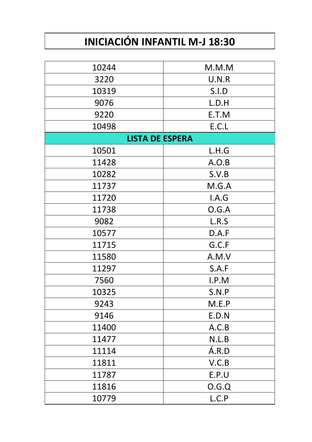# **INICIACIÓN INFANTIL M-J 18:30**

| 10244                  | M.M.M |  |
|------------------------|-------|--|
| 3220                   | U.N.R |  |
| 10319                  | S.I.D |  |
| 9076                   | L.D.H |  |
| 9220                   | E.T.M |  |
| 10498                  | E.C.L |  |
| <b>LISTA DE ESPERA</b> |       |  |
| 10501                  | L.H.G |  |
| 11428                  | A.O.B |  |
| 10282                  | S.V.B |  |
| 11737                  | M.G.A |  |
| 11720                  | I.A.G |  |
| 11738                  | O.G.A |  |
| 9082                   | L.R.S |  |
| 10577                  | D.A.F |  |
| 11715                  | G.C.F |  |
| 11580                  | A.M.V |  |
| 11297                  | S.A.F |  |
| 7560                   | I.P.M |  |
| 10325                  | S.N.P |  |
| 9243                   | M.E.P |  |
| 9146                   | E.D.N |  |
| 11400                  | A.C.B |  |
| 11477                  | N.L.B |  |
| 11114                  | Á.R.D |  |
| 11811                  | V.C.B |  |
| 11787                  | E.P.U |  |
| 11816                  | O.G.Q |  |
| 10779                  | L.C.P |  |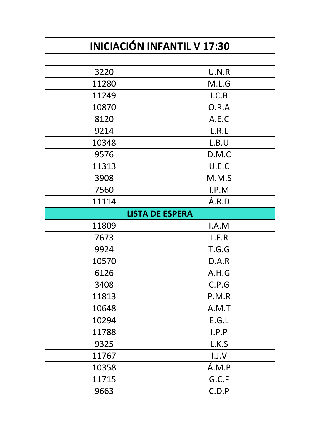# **INICIACIÓN INFANTIL V 17:30**

| 3220                   | U.N.R |
|------------------------|-------|
| 11280                  | M.L.G |
| 11249                  | I.C.B |
| 10870                  | O.R.A |
| 8120                   | A.E.C |
| 9214                   | L.R.L |
| 10348                  | L.B.U |
| 9576                   | D.M.C |
| 11313                  | U.E.C |
| 3908                   | M.M.S |
| 7560                   | I.P.M |
| 11114                  | A.R.D |
| <b>LISTA DE ESPERA</b> |       |
| 11809                  | I.A.M |
| 7673                   | L.F.R |
| 9924                   | T.G.G |
| 10570                  | D.A.R |
| 6126                   | A.H.G |
| 3408                   | C.P.G |
| 11813                  |       |
|                        | P.M.R |
| 10648                  | A.M.T |
| 10294                  | E.G.L |
| 11788                  | I.P.P |
| 9325                   | L.K.S |
| 11767                  | I.J.V |
| 10358                  | Á.M.P |
| 11715                  | G.C.F |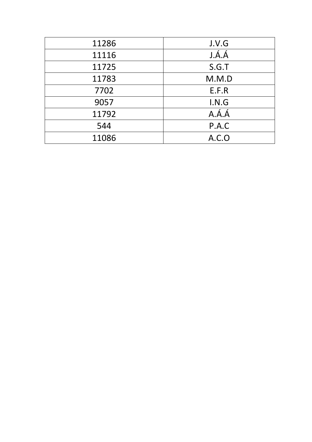| 11286 | J.V.G |
|-------|-------|
| 11116 | J.Á.Á |
| 11725 | S.G.T |
| 11783 | M.M.D |
| 7702  | E.F.R |
| 9057  | I.N.G |
| 11792 | A.A.A |
| 544   | P.A.C |
| 11086 | A.C.O |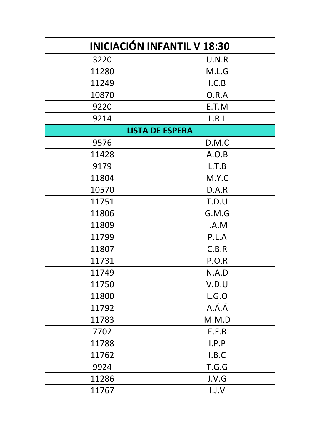| <b>INICIACIÓN INFANTIL V 18:30</b> |       |  |
|------------------------------------|-------|--|
| 3220                               | U.N.R |  |
| 11280                              | M.L.G |  |
| 11249                              | I.C.B |  |
| 10870                              | O.R.A |  |
| 9220                               | E.T.M |  |
| 9214                               | L.R.L |  |
| <b>LISTA DE ESPERA</b>             |       |  |
| 9576                               | D.M.C |  |
| 11428                              | A.O.B |  |
| 9179                               | L.T.B |  |
| 11804                              | M.Y.C |  |
| 10570                              | D.A.R |  |
| 11751                              | T.D.U |  |
| 11806                              | G.M.G |  |
| 11809                              | I.A.M |  |
| 11799                              | P.L.A |  |
| 11807                              | C.B.R |  |
| 11731                              | P.O.R |  |
| 11749                              | N.A.D |  |
| 11750                              | V.D.U |  |
| 11800                              | L.G.O |  |
| 11792                              | A.Á.Á |  |
| 11783                              | M.M.D |  |
| 7702                               | E.F.R |  |
| 11788                              | I.P.P |  |
| 11762                              | I.B.C |  |
| 9924                               | T.G.G |  |
| 11286                              | J.V.G |  |
| 11767                              | I.J.V |  |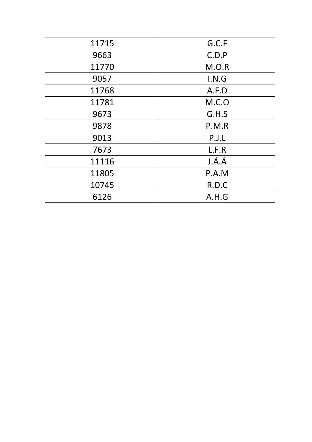| 11715 | G.C.F |
|-------|-------|
| 9663  | C.D.P |
| 11770 | M.O.R |
| 9057  | I.N.G |
| 11768 | A.F.D |
| 11781 | M.C.0 |
| 9673  | G.H.S |
| 9878  | P.M.R |
| 9013  | P.J.L |
| 7673  | L.F.R |
| 11116 | J.Á.Á |
| 11805 | P.A.M |
| 10745 | R.D.C |
| 6126  | A.H.G |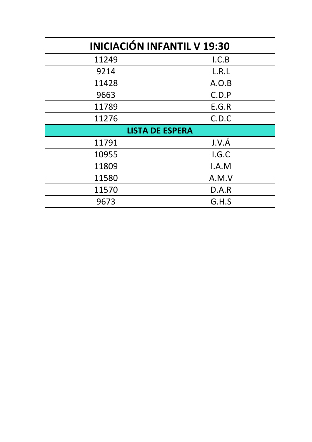| <b>INICIACIÓN INFANTIL V 19:30</b> |       |  |
|------------------------------------|-------|--|
| 11249                              | I.C.B |  |
| 9214                               | L.R.L |  |
| 11428                              | A.O.B |  |
| 9663                               | C.D.P |  |
| 11789                              | E.G.R |  |
| 11276                              | C.D.C |  |
| <b>LISTA DE ESPERA</b>             |       |  |
| 11791                              | J.V.Á |  |
| 10955                              | I.G.C |  |
| 11809                              | I.A.M |  |
| 11580                              | A.M.V |  |
| 11570                              | D.A.R |  |
| 9673                               | G.H.S |  |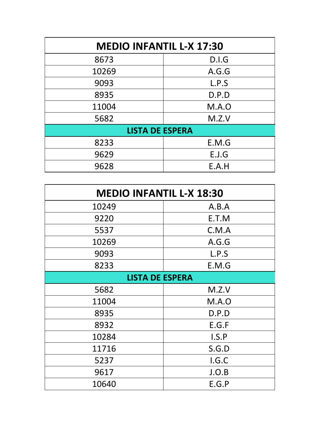| <b>MEDIO INFANTIL L-X 17:30</b> |       |  |
|---------------------------------|-------|--|
| 8673                            | D.I.G |  |
| 10269                           | A.G.G |  |
| 9093                            | L.P.S |  |
| 8935                            | D.P.D |  |
| 11004                           | M.A.O |  |
| 5682                            | M.Z.V |  |
| <b>LISTA DE ESPERA</b>          |       |  |
| 8233                            | E.M.G |  |
| 9629                            | E.J.G |  |
| 9628                            | E.A.H |  |

| <b>MEDIO INFANTIL L-X 18:30</b> |       |  |
|---------------------------------|-------|--|
| 10249                           | A.B.A |  |
| 9220                            | E.T.M |  |
| 5537                            | C.M.A |  |
| 10269                           | A.G.G |  |
| 9093                            | L.P.S |  |
| 8233                            | E.M.G |  |
| <b>LISTA DE ESPERA</b>          |       |  |
| 5682                            | M.Z.V |  |
| 11004                           | M.A.0 |  |
| 8935                            | D.P.D |  |
| 8932                            | E.G.F |  |
| 10284                           | I.S.P |  |
| 11716                           | S.G.D |  |
| 5237                            | I.G.C |  |
| 9617                            | J.O.B |  |
| 10640                           | E.G.P |  |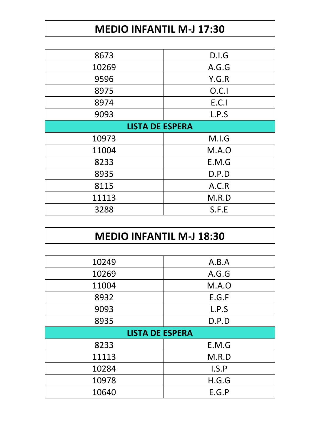# **MEDIO INFANTIL M-J 17:30**

| 8673                   | D.I.G |  |
|------------------------|-------|--|
| 10269                  | A.G.G |  |
| 9596                   | Y.G.R |  |
| 8975                   | O.C.1 |  |
| 8974                   | E.C.1 |  |
| 9093                   | L.P.S |  |
| <b>LISTA DE ESPERA</b> |       |  |
|                        |       |  |
| 10973                  | M.I.G |  |
| 11004                  | M.A.O |  |
| 8233                   | E.M.G |  |
| 8935                   | D.P.D |  |
| 8115                   | A.C.R |  |
| 11113                  | M.R.D |  |

# **MEDIO INFANTIL M-J 18:30**

| 10249                  | A.B.A |
|------------------------|-------|
| 10269                  | A.G.G |
| 11004                  | M.A.O |
| 8932                   | E.G.F |
| 9093                   | L.P.S |
| 8935                   | D.P.D |
|                        |       |
| <b>LISTA DE ESPERA</b> |       |
| 8233                   | E.M.G |
| 11113                  | M.R.D |
| 10284                  | I.S.P |
| 10978                  | H.G.G |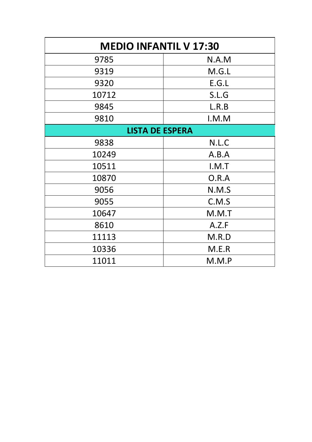| <b>MEDIO INFANTIL V 17:30</b> |       |  |
|-------------------------------|-------|--|
| 9785                          | N.A.M |  |
| 9319                          | M.G.L |  |
| 9320                          | E.G.L |  |
| 10712                         | S.L.G |  |
| 9845                          | L.R.B |  |
| 9810                          | I.M.M |  |
| <b>LISTA DE ESPERA</b>        |       |  |
| 9838                          | N.L.C |  |
| 10249                         | A.B.A |  |
| 10511                         | I.M.T |  |
| 10870                         | O.R.A |  |
| 9056                          | N.M.S |  |
| 9055                          | C.M.S |  |
| 10647                         | M.M.T |  |
| 8610                          | A.Z.F |  |
| 11113                         | M.R.D |  |
| 10336                         | M.E.R |  |
| 11011                         | M.M.P |  |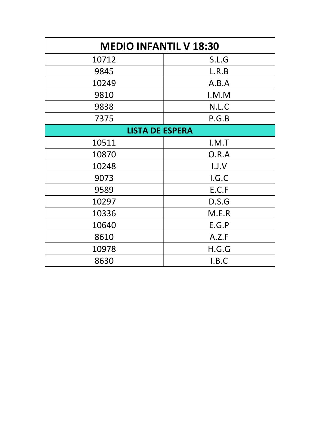| <b>MEDIO INFANTIL V 18:30</b> |       |  |
|-------------------------------|-------|--|
| 10712                         | S.L.G |  |
| 9845                          | L.R.B |  |
| 10249                         | A.B.A |  |
| 9810                          | I.M.M |  |
| 9838                          | N.L.C |  |
| 7375                          | P.G.B |  |
| <b>LISTA DE ESPERA</b>        |       |  |
| 10511                         | I.M.T |  |
| 10870                         | O.R.A |  |
| 10248                         | 1.1.V |  |
| 9073                          | I.G.C |  |
| 9589                          | E.C.F |  |
| 10297                         | D.S.G |  |
| 10336                         | M.E.R |  |
| 10640                         | E.G.P |  |
| 8610                          | A.Z.F |  |
| 10978                         | H.G.G |  |
| 8630                          | I.B.C |  |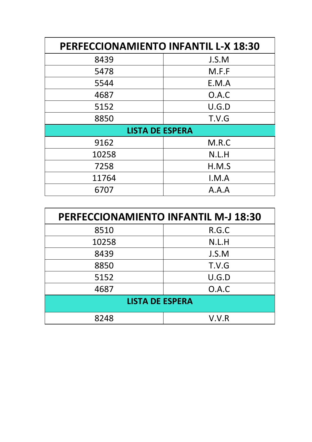| <b>PERFECCIONAMIENTO INFANTIL L-X 18:30</b> |       |  |
|---------------------------------------------|-------|--|
| 8439                                        | J.S.M |  |
| 5478                                        | M.F.F |  |
| 5544                                        | E.M.A |  |
| 4687                                        | O.A.C |  |
| 5152                                        | U.G.D |  |
| 8850                                        | T.V.G |  |
| <b>LISTA DE ESPERA</b>                      |       |  |
| 9162                                        | M.R.C |  |
| 10258                                       | N.L.H |  |
| 7258                                        | H.M.S |  |
| 11764                                       | I.M.A |  |
| 6707                                        | A.A.A |  |

| <b>PERFECCIONAMIENTO INFANTIL M-J 18:30</b> |       |  |
|---------------------------------------------|-------|--|
| 8510                                        | R.G.C |  |
| 10258                                       | N.L.H |  |
| 8439                                        | J.S.M |  |
| 8850                                        | T.V.G |  |
| 5152                                        | U.G.D |  |
| 4687                                        | O.A.C |  |
| <b>LISTA DE ESPERA</b>                      |       |  |
| 8248                                        | V.V.R |  |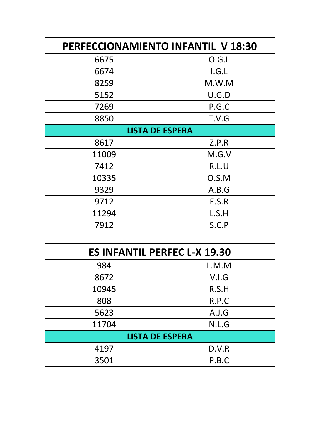| <b>PERFECCIONAMIENTO INFANTIL V 18:30</b> |       |  |
|-------------------------------------------|-------|--|
| 6675                                      | O.G.L |  |
| 6674                                      | I.G.L |  |
| 8259                                      | M.W.M |  |
| 5152                                      | U.G.D |  |
| 7269                                      | P.G.C |  |
| 8850                                      | T.V.G |  |
| <b>LISTA DE ESPERA</b>                    |       |  |
| 8617                                      | Z.P.R |  |
| 11009                                     | M.G.V |  |
| 7412                                      | R.L.U |  |
| 10335                                     | O.S.M |  |
| 9329                                      | A.B.G |  |
| 9712                                      | E.S.R |  |
| 11294                                     | L.S.H |  |
| 7912                                      | S.C.P |  |

| <b>ES INFANTIL PERFEC L-X 19.30</b> |       |  |
|-------------------------------------|-------|--|
| 984                                 | L.M.M |  |
| 8672                                | V.I.G |  |
| 10945                               | R.S.H |  |
| 808                                 | R.P.C |  |
| 5623                                | A.J.G |  |
| 11704                               | N.L.G |  |
| <b>LISTA DE ESPERA</b>              |       |  |
| 4197                                | D.V.R |  |
| 3501                                | P.B.C |  |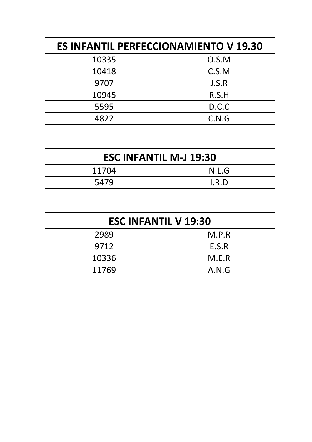| <b>ES INFANTIL PERFECCIONAMIENTO V 19.30</b> |       |
|----------------------------------------------|-------|
| 10335                                        | O.S.M |
| 10418                                        | C.S.M |
| 9707                                         | J.S.R |
| 10945                                        | R.S.H |
| 5595                                         | D.C.C |
| 4822                                         | C.N.G |

| <b>ESC INFANTIL M-J 19:30</b> |       |
|-------------------------------|-------|
| 11704                         | N.L.G |
| 5479                          | I.R.D |

| <b>ESC INFANTIL V 19:30</b> |       |
|-----------------------------|-------|
| 2989                        | M.P.R |
| 9712                        | E.S.R |
| 10336                       | M.E.R |
| 11769                       | A.N.G |